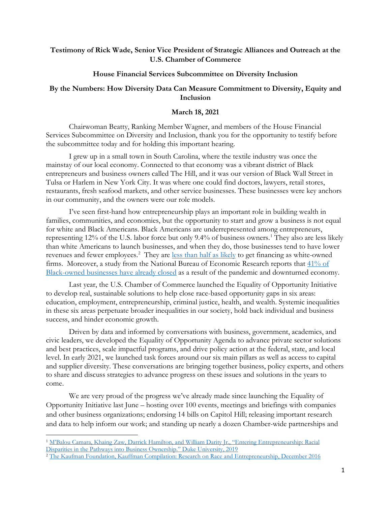## **Testimony of Rick Wade, Senior Vice President of Strategic Alliances and Outreach at the U.S. Chamber of Commerce**

## **House Financial Services Subcommittee on Diversity Inclusion**

## **By the Numbers: How Diversity Data Can Measure Commitment to Diversity, Equity and Inclusion**

## **March 18, 2021**

Chairwoman Beatty, Ranking Member Wagner, and members of the House Financial Services Subcommittee on Diversity and Inclusion, thank you for the opportunity to testify before the subcommittee today and for holding this important hearing.

I grew up in a small town in South Carolina, where the textile industry was once the mainstay of our local economy. Connected to that economy was a vibrant district of Black entrepreneurs and business owners called The Hill, and it was our version of Black Wall Street in Tulsa or Harlem in New York City. It was where one could find doctors, lawyers, retail stores, restaurants, fresh seafood markets, and other service businesses. These businesses were key anchors in our community, and the owners were our role models.

I've seen first-hand how entrepreneurship plays an important role in building wealth in families, communities, and economies, but the opportunity to start and grow a business is not equal for white and Black Americans. Black Americans are underrepresented among entrepreneurs, representing 12% of the U.S. labor force but only 9.4% of business owners. [1](#page-0-0) They also are less likely than white Americans to launch businesses, and when they do, those businesses tend to have lower revenues and fewer employees.<sup>[2](#page-0-1)</sup> They are [less than half as likely](https://www.newyorkfed.org/newsevents/news/regional_outreach/2019/20190814) to get financing as white-owned firms. Moreover, a study from the National Bureau of Economic Research reports that  $41\%$  of [Black-owned businesses have already closed](https://www.newyorkfed.org/medialibrary/media/smallbusiness/DoubleJeopardy_COVID19andBlackOwnedBusinesses) as a result of the pandemic and downturned economy.

Last year, the U.S. Chamber of Commerce launched the Equality of Opportunity Initiative to develop real, sustainable solutions to help close race-based opportunity gaps in six areas: education, employment, entrepreneurship, criminal justice, health, and wealth. Systemic inequalities in these six areas perpetuate broader inequalities in our society, hold back individual and business success, and hinder economic growth.

Driven by data and informed by conversations with business, government, academics, and civic leaders, we developed the Equality of Opportunity Agenda to advance private sector solutions and best practices, scale impactful programs, and drive policy action at the federal, state, and local level. In early 2021, we launched task forces around our six main pillars as well as access to capital and supplier diversity. These conversations are bringing together business, policy experts, and others to share and discuss strategies to advance progress on these issues and solutions in the years to come.

We are very proud of the progress we've already made since launching the Equality of Opportunity Initiative last June – hosting over 100 events, meetings and briefings with companies and other business organizations; endorsing 14 bills on Capitol Hill; releasing important research and data to help inform our work; and standing up nearly a dozen Chamber-wide partnerships and

<span id="page-0-0"></span><sup>&</sup>lt;sup>1</sup> M'Balou Camara, Khaing Zaw, Darrick Hamilton, and William Darity Jr., "Entering Entrepreneurship: Racial [Disparities in the Pathways into Business Ownership." Duke University, 2019](https://socialequity.duke.edu/wp-content/uploads/2019/10/Entering-Entrepreneurship.pdf)

<span id="page-0-1"></span><sup>2</sup> [The Kaufman Foundation, Kauffman Compilation: Research on Race and Entrepreneurship, December 2016](https://www.kauffman.org/wp-content/uploads/2019/12/kauffman_compilation_race_entrepreneurship.pdf)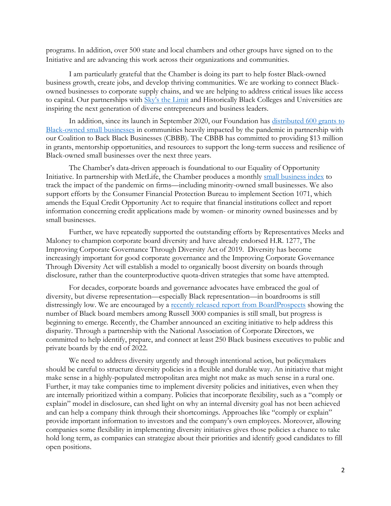programs. In addition, over 500 state and local chambers and other groups have signed on to the Initiative and are advancing this work across their organizations and communities.

I am particularly grateful that the Chamber is doing its part to help foster Black-owned business growth, create jobs, and develop thriving communities. We are working to connect Blackowned businesses to corporate supply chains, and we are helping to address critical issues like access to capital. Our partnerships with [Sky's the Limit](https://www.skysthelimit.org/) and Historically Black Colleges and Universities are inspiring the next generation of diverse entrepreneurs and business leaders.

In addition, since its launch in September 2020, our Foundation has [distributed 600 grants to](https://webackblackbusinesses.com/)  [Black-owned small businesses](https://webackblackbusinesses.com/) in communities heavily impacted by the pandemic in partnership with our Coalition to Back Black Businesses (CBBB). The CBBB has committed to providing \$13 million in grants, mentorship opportunities, and resources to support the long-term success and resilience of Black-owned small businesses over the next three years.

The Chamber's data-driven approach is foundational to our Equality of Opportunity Initiative. In partnership with MetLife, the Chamber produces a monthly [small business index](https://www.uschamber.com/report/small-business-coronavirus-impact-poll) to track the impact of the pandemic on firms—including minority-owned small businesses. We also support efforts by the Consumer Financial Protection Bureau to implement Section 1071, which amends the Equal Credit Opportunity Act to require that financial institutions collect and report information concerning credit applications made by women- or minority owned businesses and by small businesses.

Further, we have repeatedly supported the outstanding efforts by Representatives Meeks and Maloney to champion corporate board diversity and have already endorsed H.R. 1277, The Improving Corporate Governance Through Diversity Act of 2019. Diversity has become increasingly important for good corporate governance and the Improving Corporate Governance Through Diversity Act will establish a model to organically boost diversity on boards through disclosure, rather than the counterproductive quota-driven strategies that some have attempted.

For decades, corporate boards and governance advocates have embraced the goal of diversity, but diverse representation—especially Black representation—in boardrooms is still distressingly low. We are encouraged by a [recently released report from BoardProspects](https://www.pionline.com/governance/number-black-board-members-starts-increase-report) showing the number of Black board members among Russell 3000 companies is still small, but progress is beginning to emerge. Recently, the Chamber announced an exciting initiative to help address this disparity. Through a partnership with the National Association of Corporate Directors, we committed to help identify, prepare, and connect at least 250 Black business executives to public and private boards by the end of 2022.

We need to address diversity urgently and through intentional action, but policymakers should be careful to structure diversity policies in a flexible and durable way. An initiative that might make sense in a highly-populated metropolitan area might not make as much sense in a rural one. Further, it may take companies time to implement diversity policies and initiatives, even when they are internally prioritized within a company. Policies that incorporate flexibility, such as a "comply or explain" model in disclosure, can shed light on why an internal diversity goal has not been achieved and can help a company think through their shortcomings. Approaches like "comply or explain" provide important information to investors and the company's own employees. Moreover, allowing companies some flexibility in implementing diversity initiatives gives those policies a chance to take hold long term, as companies can strategize about their priorities and identify good candidates to fill open positions.